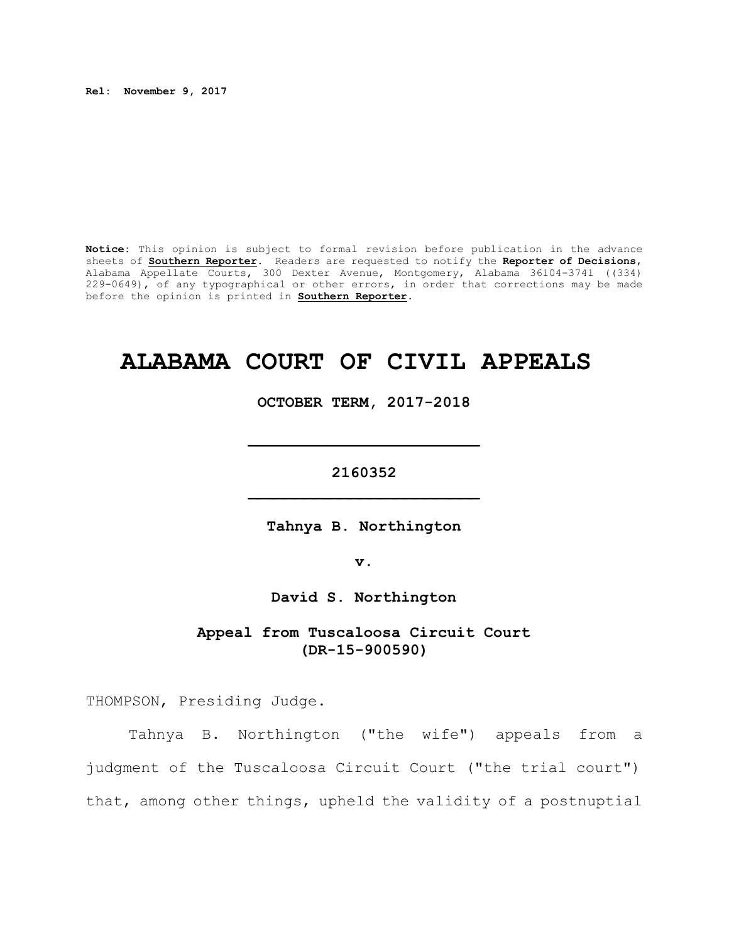**Rel: November 9, 2017**

**Notice:** This opinion is subject to formal revision before publication in the advance sheets of **Southern Reporter**. Readers are requested to notify the **Reporter of Decisions**, Alabama Appellate Courts, 300 Dexter Avenue, Montgomery, Alabama 36104-3741 ((334) 229-0649), of any typographical or other errors, in order that corrections may be made before the opinion is printed in **Southern Reporter**.

# **ALABAMA COURT OF CIVIL APPEALS**

**OCTOBER TERM, 2017-2018**

**\_\_\_\_\_\_\_\_\_\_\_\_\_\_\_\_\_\_\_\_\_\_\_\_\_**

**2160352 \_\_\_\_\_\_\_\_\_\_\_\_\_\_\_\_\_\_\_\_\_\_\_\_\_**

**Tahnya B. Northington**

**v.**

**David S. Northington**

**Appeal from Tuscaloosa Circuit Court (DR-15-900590)**

THOMPSON, Presiding Judge.

Tahnya B. Northington ("the wife") appeals from a judgment of the Tuscaloosa Circuit Court ("the trial court") that, among other things, upheld the validity of a postnuptial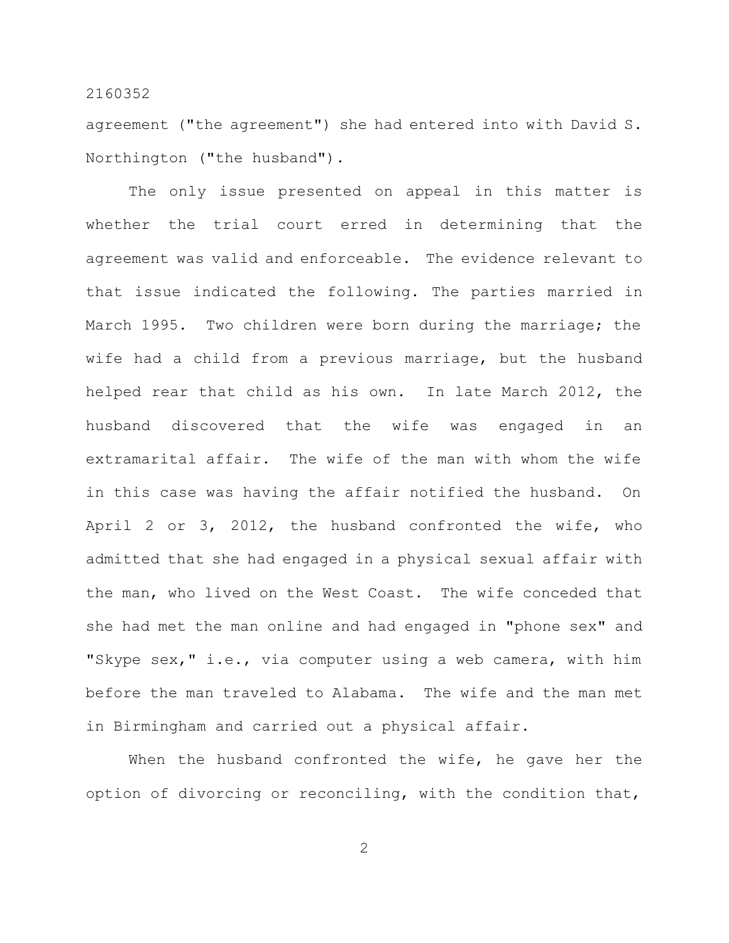agreement ("the agreement") she had entered into with David S. Northington ("the husband").

The only issue presented on appeal in this matter is whether the trial court erred in determining that the agreement was valid and enforceable. The evidence relevant to that issue indicated the following. The parties married in March 1995. Two children were born during the marriage; the wife had a child from a previous marriage, but the husband helped rear that child as his own. In late March 2012, the husband discovered that the wife was engaged in an extramarital affair. The wife of the man with whom the wife in this case was having the affair notified the husband. On April 2 or 3, 2012, the husband confronted the wife, who admitted that she had engaged in a physical sexual affair with the man, who lived on the West Coast. The wife conceded that she had met the man online and had engaged in "phone sex" and "Skype sex," i.e., via computer using a web camera, with him before the man traveled to Alabama. The wife and the man met in Birmingham and carried out a physical affair.

When the husband confronted the wife, he gave her the option of divorcing or reconciling, with the condition that,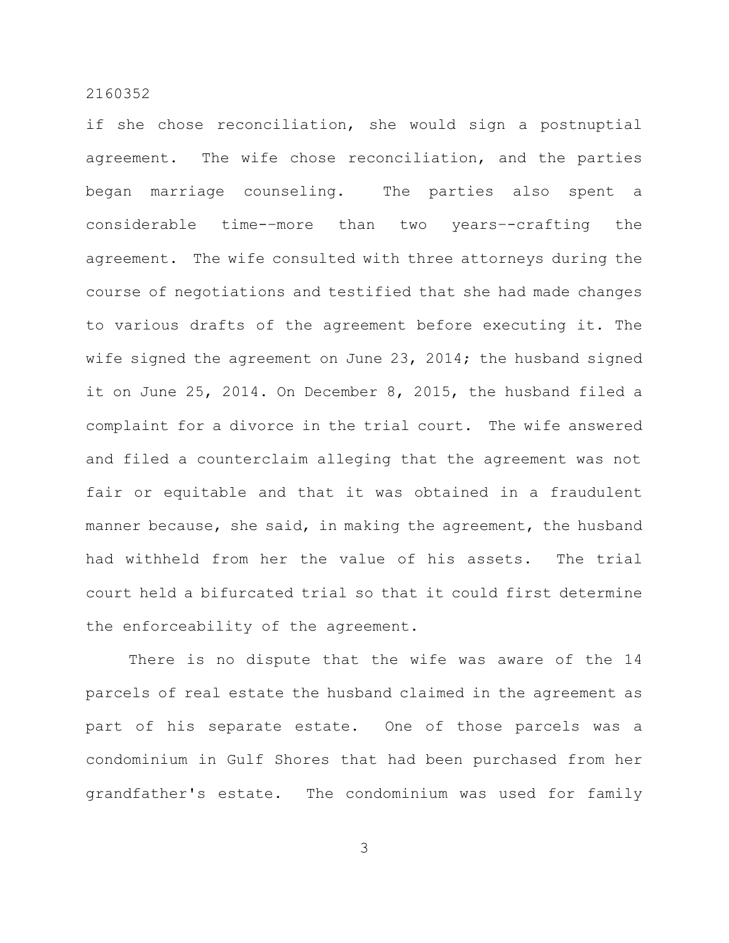if she chose reconciliation, she would sign a postnuptial agreement. The wife chose reconciliation, and the parties began marriage counseling. The parties also spent a considerable time-–more than two years–-crafting the agreement. The wife consulted with three attorneys during the course of negotiations and testified that she had made changes to various drafts of the agreement before executing it. The wife signed the agreement on June 23, 2014; the husband signed it on June 25, 2014. On December 8, 2015, the husband filed a complaint for a divorce in the trial court. The wife answered and filed a counterclaim alleging that the agreement was not fair or equitable and that it was obtained in a fraudulent manner because, she said, in making the agreement, the husband had withheld from her the value of his assets. The trial court held a bifurcated trial so that it could first determine the enforceability of the agreement.

There is no dispute that the wife was aware of the 14 parcels of real estate the husband claimed in the agreement as part of his separate estate. One of those parcels was a condominium in Gulf Shores that had been purchased from her grandfather's estate. The condominium was used for family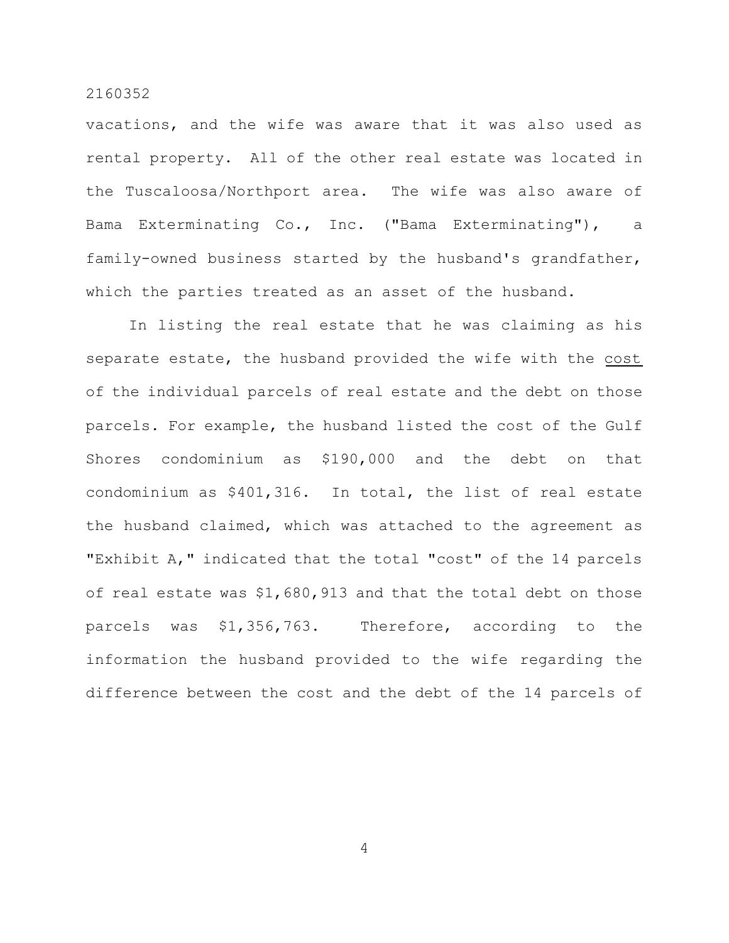vacations, and the wife was aware that it was also used as rental property. All of the other real estate was located in the Tuscaloosa/Northport area. The wife was also aware of Bama Exterminating Co., Inc. ("Bama Exterminating"), a family-owned business started by the husband's grandfather, which the parties treated as an asset of the husband.

In listing the real estate that he was claiming as his separate estate, the husband provided the wife with the cost of the individual parcels of real estate and the debt on those parcels. For example, the husband listed the cost of the Gulf Shores condominium as \$190,000 and the debt on that condominium as \$401,316. In total, the list of real estate the husband claimed, which was attached to the agreement as "Exhibit A," indicated that the total "cost" of the 14 parcels of real estate was \$1,680,913 and that the total debt on those parcels was \$1,356,763. Therefore, according to the information the husband provided to the wife regarding the difference between the cost and the debt of the 14 parcels of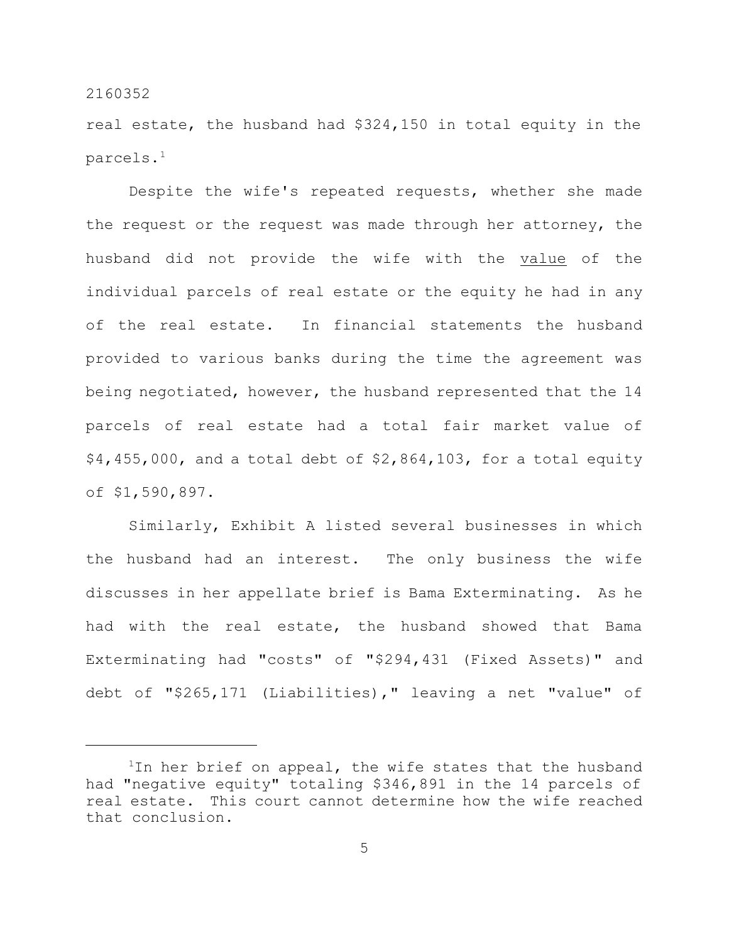real estate, the husband had \$324,150 in total equity in the parcels.<sup>1</sup>

Despite the wife's repeated requests, whether she made the request or the request was made through her attorney, the husband did not provide the wife with the value of the individual parcels of real estate or the equity he had in any of the real estate. In financial statements the husband provided to various banks during the time the agreement was being negotiated, however, the husband represented that the 14 parcels of real estate had a total fair market value of \$4,455,000, and a total debt of \$2,864,103, for a total equity of \$1,590,897.

Similarly, Exhibit A listed several businesses in which the husband had an interest. The only business the wife discusses in her appellate brief is Bama Exterminating. As he had with the real estate, the husband showed that Bama Exterminating had "costs" of "\$294,431 (Fixed Assets)" and debt of "\$265,171 (Liabilities)," leaving a net "value" of

 $1$ In her brief on appeal, the wife states that the husband had "negative equity" totaling \$346,891 in the 14 parcels of real estate. This court cannot determine how the wife reached that conclusion.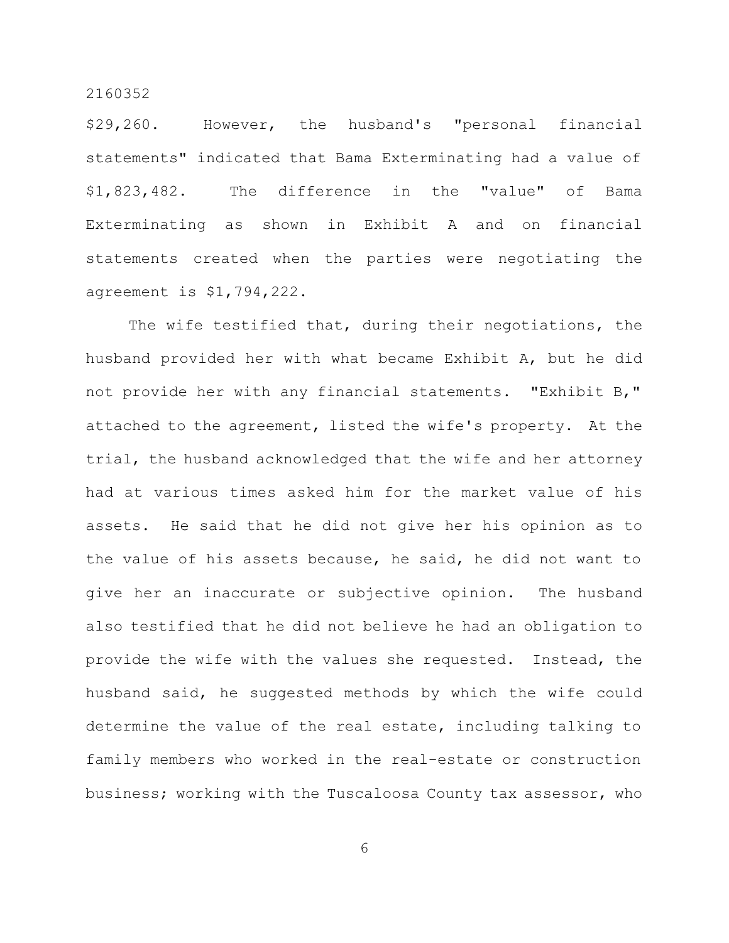\$29,260. However, the husband's "personal financial statements" indicated that Bama Exterminating had a value of \$1,823,482. The difference in the "value" of Bama Exterminating as shown in Exhibit A and on financial statements created when the parties were negotiating the agreement is \$1,794,222.

The wife testified that, during their negotiations, the husband provided her with what became Exhibit A, but he did not provide her with any financial statements. "Exhibit B," attached to the agreement, listed the wife's property. At the trial, the husband acknowledged that the wife and her attorney had at various times asked him for the market value of his assets. He said that he did not give her his opinion as to the value of his assets because, he said, he did not want to give her an inaccurate or subjective opinion. The husband also testified that he did not believe he had an obligation to provide the wife with the values she requested. Instead, the husband said, he suggested methods by which the wife could determine the value of the real estate, including talking to family members who worked in the real-estate or construction business; working with the Tuscaloosa County tax assessor, who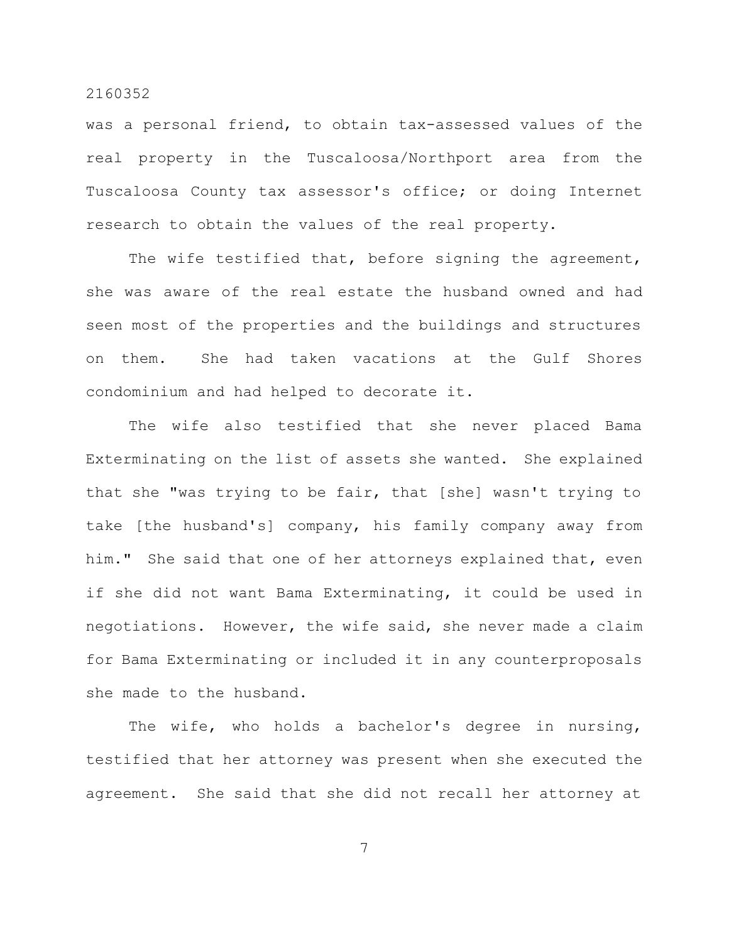was a personal friend, to obtain tax-assessed values of the real property in the Tuscaloosa/Northport area from the Tuscaloosa County tax assessor's office; or doing Internet research to obtain the values of the real property.

The wife testified that, before signing the agreement, she was aware of the real estate the husband owned and had seen most of the properties and the buildings and structures on them. She had taken vacations at the Gulf Shores condominium and had helped to decorate it.

The wife also testified that she never placed Bama Exterminating on the list of assets she wanted. She explained that she "was trying to be fair, that [she] wasn't trying to take [the husband's] company, his family company away from him." She said that one of her attorneys explained that, even if she did not want Bama Exterminating, it could be used in negotiations. However, the wife said, she never made a claim for Bama Exterminating or included it in any counterproposals she made to the husband.

The wife, who holds a bachelor's degree in nursing, testified that her attorney was present when she executed the agreement. She said that she did not recall her attorney at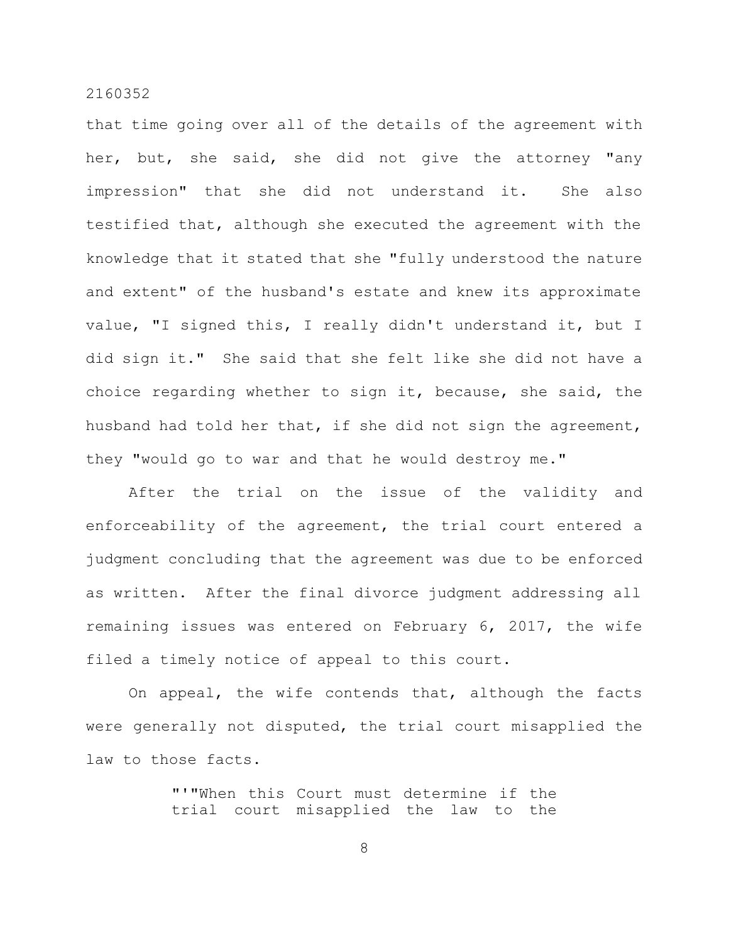that time going over all of the details of the agreement with her, but, she said, she did not give the attorney "any impression" that she did not understand it. She also testified that, although she executed the agreement with the knowledge that it stated that she "fully understood the nature and extent" of the husband's estate and knew its approximate value, "I signed this, I really didn't understand it, but I did sign it." She said that she felt like she did not have a choice regarding whether to sign it, because, she said, the husband had told her that, if she did not sign the agreement, they "would go to war and that he would destroy me."

After the trial on the issue of the validity and enforceability of the agreement, the trial court entered a judgment concluding that the agreement was due to be enforced as written. After the final divorce judgment addressing all remaining issues was entered on February 6, 2017, the wife filed a timely notice of appeal to this court.

On appeal, the wife contends that, although the facts were generally not disputed, the trial court misapplied the law to those facts.

> "'"When this Court must determine if the trial court misapplied the law to the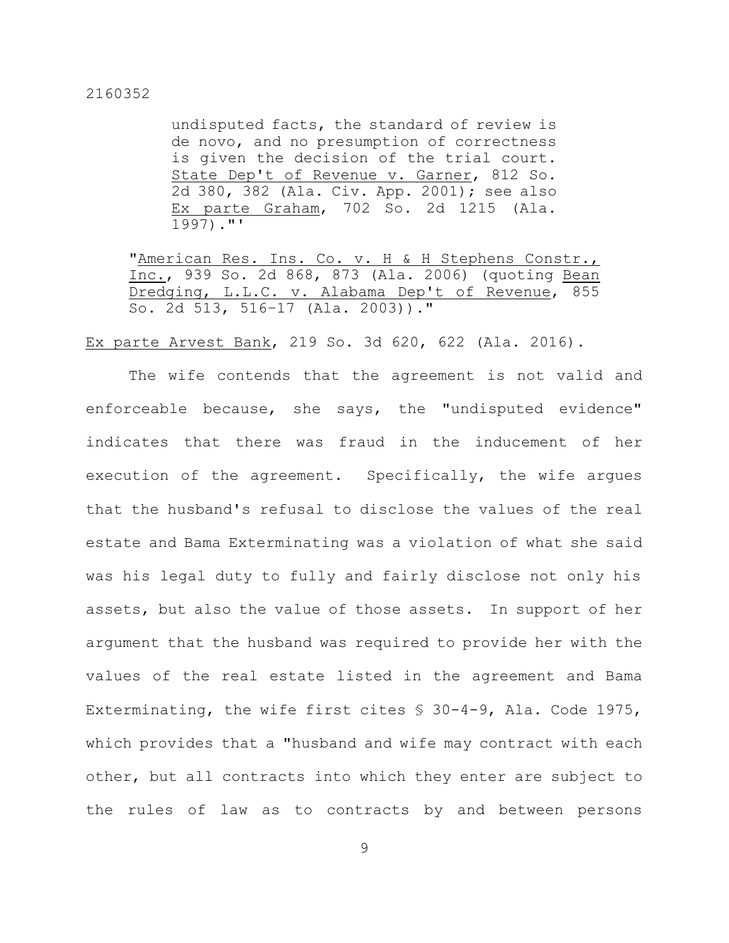undisputed facts, the standard of review is de novo, and no presumption of correctness is given the decision of the trial court. State Dep't of Revenue v. Garner, 812 So. 2d 380, 382 (Ala. Civ. App. 2001); see also Ex parte Graham, 702 So. 2d 1215 (Ala. 1997)."'

"American Res. Ins. Co. v. H & H Stephens Constr., Inc., 939 So. 2d 868, 873 (Ala. 2006) (quoting Bean Dredging, L.L.C. v. Alabama Dep't of Revenue, 855 So. 2d 513, 516–17 (Ala. 2003))."

Ex parte Arvest Bank, 219 So. 3d 620, 622 (Ala. 2016).

The wife contends that the agreement is not valid and enforceable because, she says, the "undisputed evidence" indicates that there was fraud in the inducement of her execution of the agreement. Specifically, the wife argues that the husband's refusal to disclose the values of the real estate and Bama Exterminating was a violation of what she said was his legal duty to fully and fairly disclose not only his assets, but also the value of those assets. In support of her argument that the husband was required to provide her with the values of the real estate listed in the agreement and Bama Exterminating, the wife first cites  $$30-4-9$ , Ala. Code 1975, which provides that a "husband and wife may contract with each other, but all contracts into which they enter are subject to the rules of law as to contracts by and between persons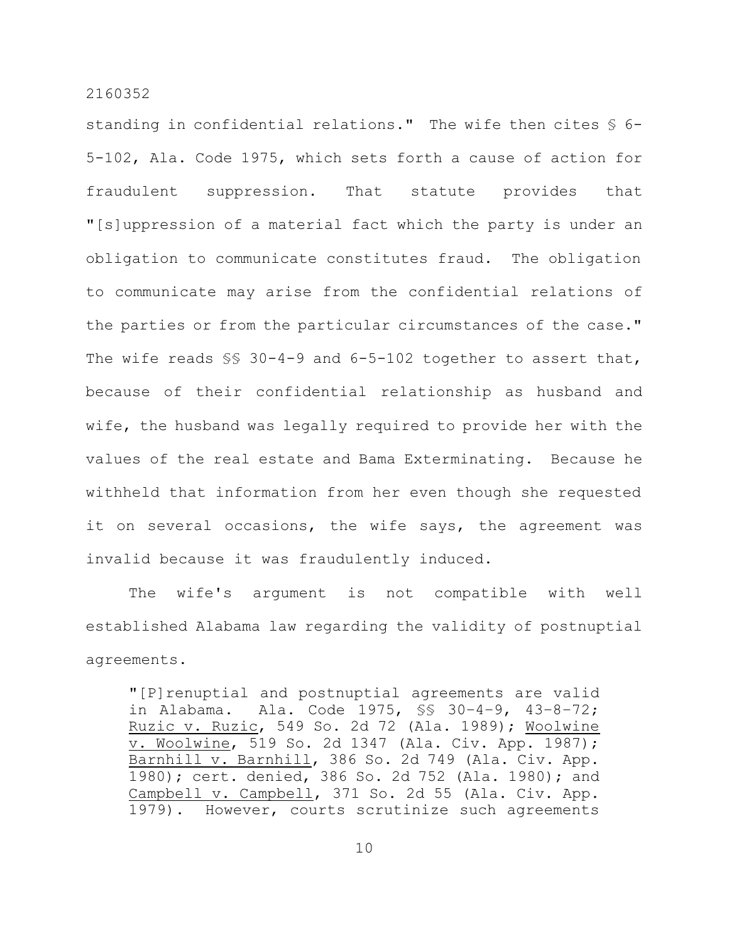standing in confidential relations." The wife then cites § 6- 5-102, Ala. Code 1975, which sets forth a cause of action for fraudulent suppression. That statute provides that "[s]uppression of a material fact which the party is under an obligation to communicate constitutes fraud. The obligation to communicate may arise from the confidential relations of the parties or from the particular circumstances of the case." The wife reads  $\S$  30-4-9 and 6-5-102 together to assert that, because of their confidential relationship as husband and wife, the husband was legally required to provide her with the values of the real estate and Bama Exterminating. Because he withheld that information from her even though she requested it on several occasions, the wife says, the agreement was invalid because it was fraudulently induced.

The wife's argument is not compatible with well established Alabama law regarding the validity of postnuptial agreements.

"[P]renuptial and postnuptial agreements are valid in Alabama. Ala. Code 1975, §§ 30–4–9, 43–8–72; Ruzic v. Ruzic, 549 So. 2d 72 (Ala. 1989); Woolwine v. Woolwine, 519 So. 2d 1347 (Ala. Civ. App. 1987); Barnhill v. Barnhill, 386 So. 2d 749 (Ala. Civ. App. 1980); cert. denied, 386 So. 2d 752 (Ala. 1980); and Campbell v. Campbell, 371 So. 2d 55 (Ala. Civ. App. 1979). However, courts scrutinize such agreements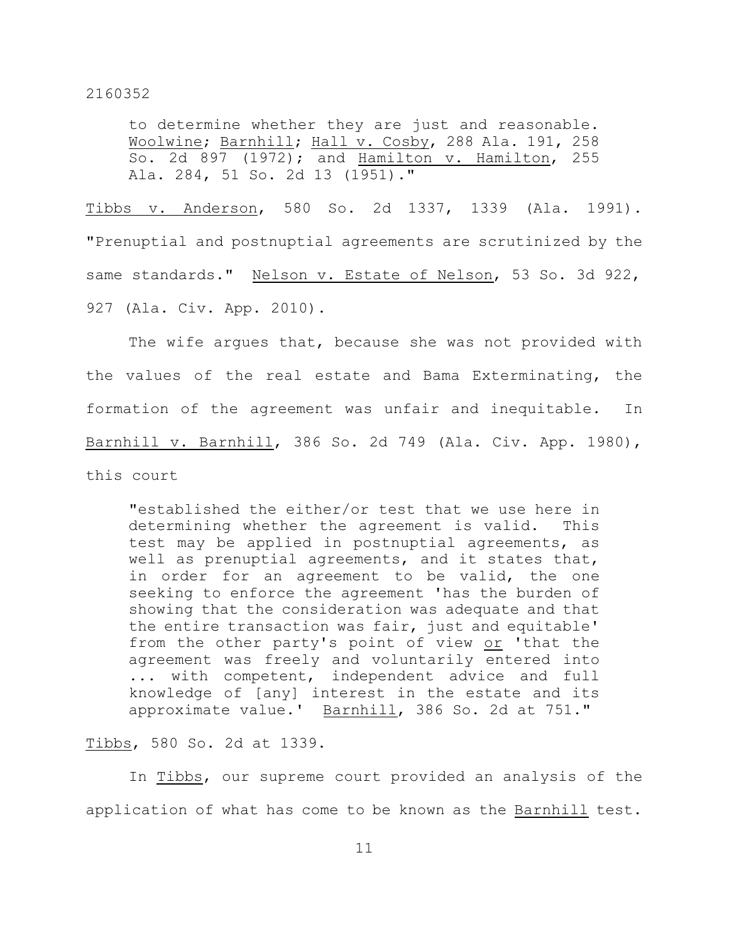to determine whether they are just and reasonable. Woolwine; Barnhill; Hall v. Cosby, 288 Ala. 191, 258 So. 2d 897 (1972); and Hamilton v. Hamilton, 255 Ala. 284, 51 So. 2d 13 (1951)."

Tibbs v. Anderson, 580 So. 2d 1337, 1339 (Ala. 1991). "Prenuptial and postnuptial agreements are scrutinized by the same standards." Nelson v. Estate of Nelson, 53 So. 3d 922, 927 (Ala. Civ. App. 2010).

The wife argues that, because she was not provided with the values of the real estate and Bama Exterminating, the formation of the agreement was unfair and inequitable. In Barnhill v. Barnhill, 386 So. 2d 749 (Ala. Civ. App. 1980), this court

"established the either/or test that we use here in determining whether the agreement is valid. This test may be applied in postnuptial agreements, as well as prenuptial agreements, and it states that, in order for an agreement to be valid, the one seeking to enforce the agreement 'has the burden of showing that the consideration was adequate and that the entire transaction was fair, just and equitable' from the other party's point of view or 'that the agreement was freely and voluntarily entered into ... with competent, independent advice and full knowledge of [any] interest in the estate and its approximate value.' Barnhill, 386 So. 2d at 751."

Tibbs, 580 So. 2d at 1339.

In Tibbs, our supreme court provided an analysis of the application of what has come to be known as the Barnhill test.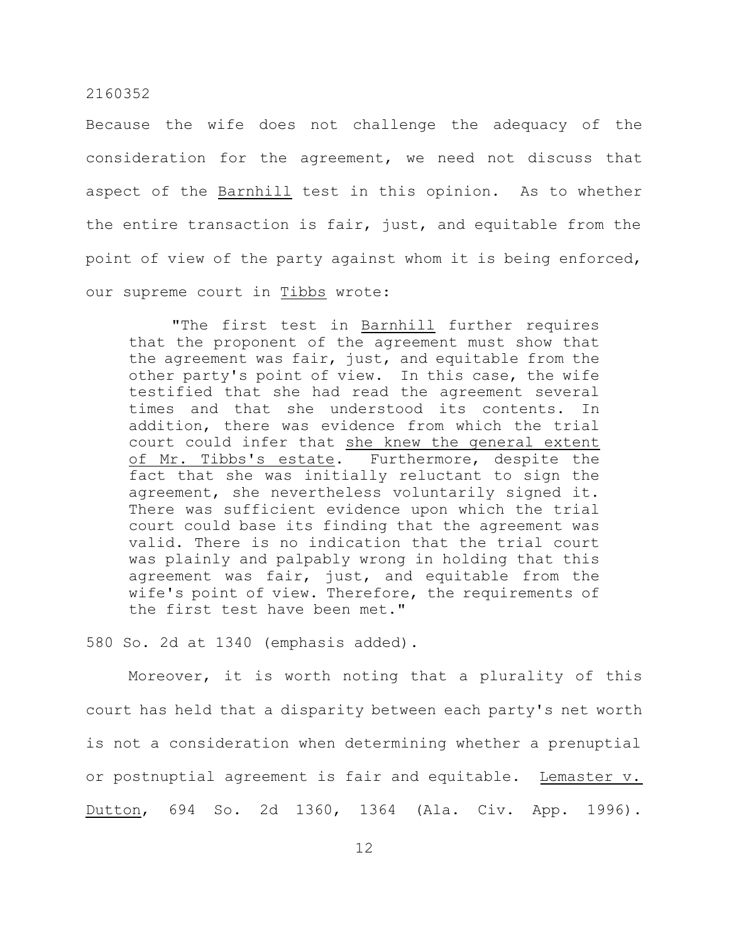Because the wife does not challenge the adequacy of the consideration for the agreement, we need not discuss that aspect of the Barnhill test in this opinion. As to whether the entire transaction is fair, just, and equitable from the point of view of the party against whom it is being enforced, our supreme court in Tibbs wrote:

"The first test in Barnhill further requires that the proponent of the agreement must show that the agreement was fair, just, and equitable from the other party's point of view. In this case, the wife testified that she had read the agreement several times and that she understood its contents. In addition, there was evidence from which the trial court could infer that she knew the general extent of Mr. Tibbs's estate. Furthermore, despite the fact that she was initially reluctant to sign the agreement, she nevertheless voluntarily signed it. There was sufficient evidence upon which the trial court could base its finding that the agreement was valid. There is no indication that the trial court was plainly and palpably wrong in holding that this agreement was fair, just, and equitable from the wife's point of view. Therefore, the requirements of the first test have been met."

580 So. 2d at 1340 (emphasis added).

Moreover, it is worth noting that a plurality of this court has held that a disparity between each party's net worth is not a consideration when determining whether a prenuptial or postnuptial agreement is fair and equitable. Lemaster v. Dutton, 694 So. 2d 1360, 1364 (Ala. Civ. App. 1996).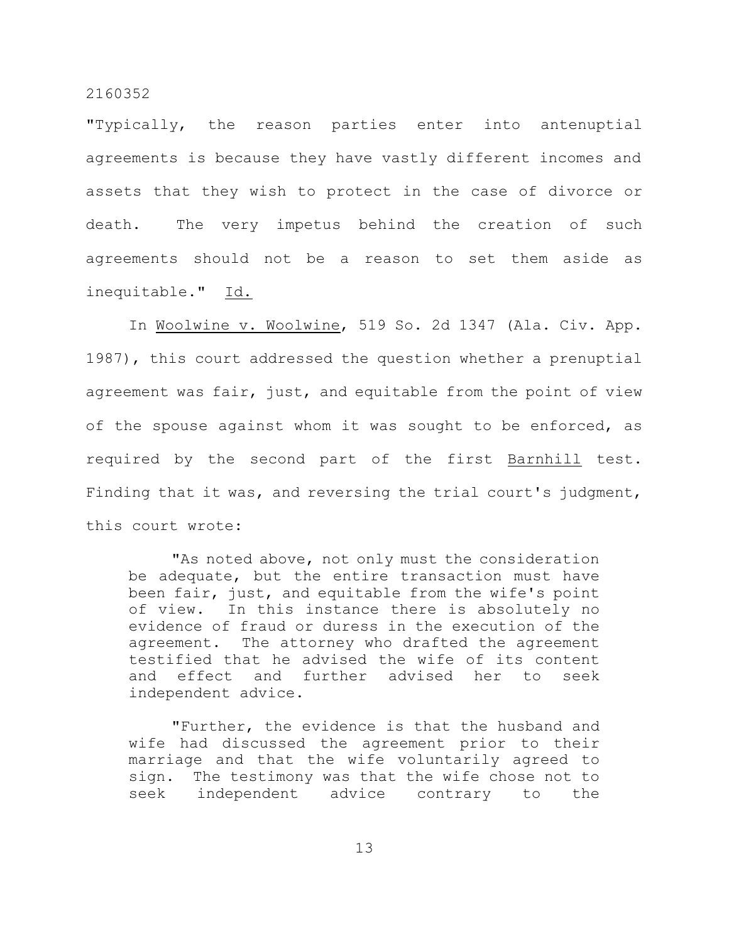"Typically, the reason parties enter into antenuptial agreements is because they have vastly different incomes and assets that they wish to protect in the case of divorce or death. The very impetus behind the creation of such agreements should not be a reason to set them aside as inequitable." Id.

In Woolwine v. Woolwine, 519 So. 2d 1347 (Ala. Civ. App. 1987), this court addressed the question whether a prenuptial agreement was fair, just, and equitable from the point of view of the spouse against whom it was sought to be enforced, as required by the second part of the first Barnhill test. Finding that it was, and reversing the trial court's judgment, this court wrote:

"As noted above, not only must the consideration be adequate, but the entire transaction must have been fair, just, and equitable from the wife's point of view. In this instance there is absolutely no evidence of fraud or duress in the execution of the agreement. The attorney who drafted the agreement testified that he advised the wife of its content and effect and further advised her to seek independent advice.

"Further, the evidence is that the husband and wife had discussed the agreement prior to their marriage and that the wife voluntarily agreed to sign. The testimony was that the wife chose not to seek independent advice contrary to the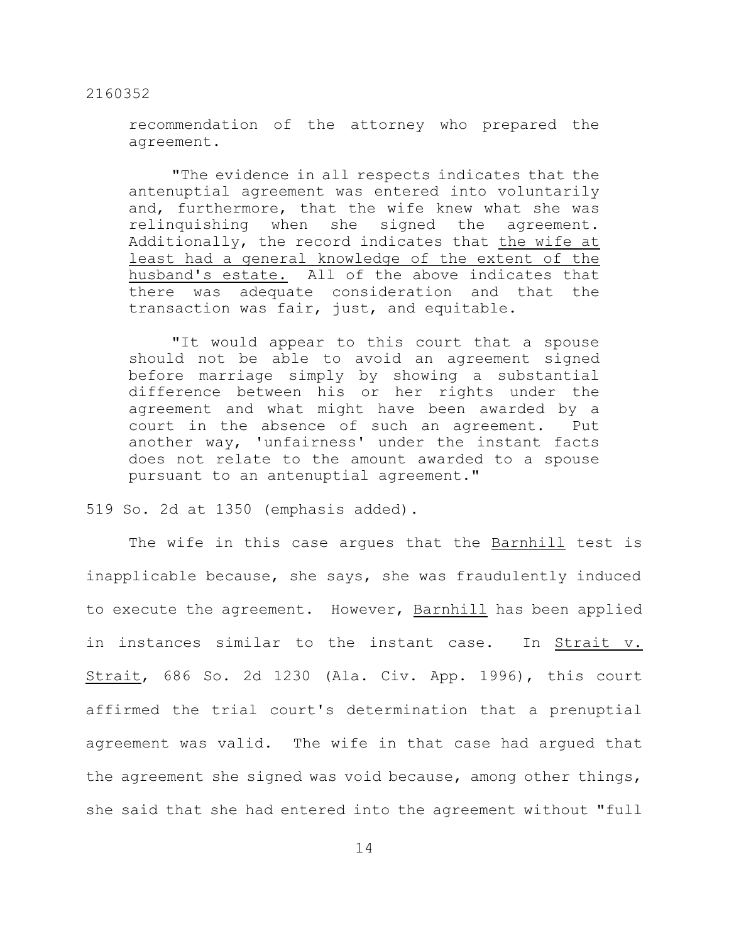recommendation of the attorney who prepared the agreement.

"The evidence in all respects indicates that the antenuptial agreement was entered into voluntarily and, furthermore, that the wife knew what she was relinquishing when she signed the agreement. Additionally, the record indicates that the wife at least had a general knowledge of the extent of the husband's estate. All of the above indicates that there was adequate consideration and that the transaction was fair, just, and equitable.

"It would appear to this court that a spouse should not be able to avoid an agreement signed before marriage simply by showing a substantial difference between his or her rights under the agreement and what might have been awarded by a court in the absence of such an agreement. Put another way, 'unfairness' under the instant facts does not relate to the amount awarded to a spouse pursuant to an antenuptial agreement."

519 So. 2d at 1350 (emphasis added).

The wife in this case argues that the Barnhill test is inapplicable because, she says, she was fraudulently induced to execute the agreement. However, Barnhill has been applied in instances similar to the instant case. In Strait v. Strait, 686 So. 2d 1230 (Ala. Civ. App. 1996), this court affirmed the trial court's determination that a prenuptial agreement was valid. The wife in that case had argued that the agreement she signed was void because, among other things, she said that she had entered into the agreement without "full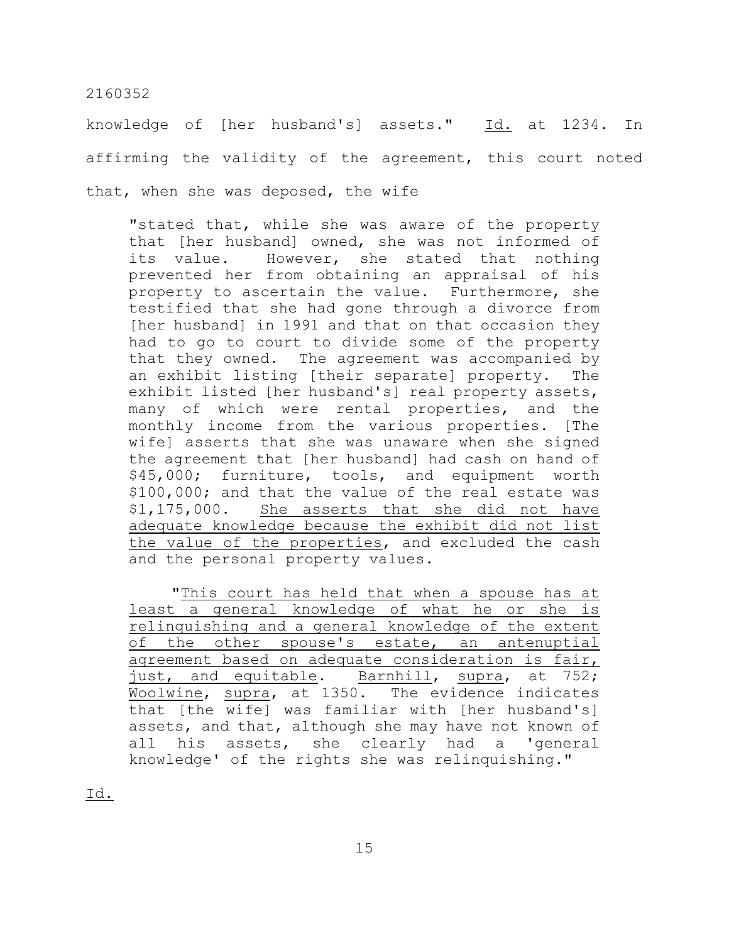knowledge of [her husband's] assets." Id. at 1234. In affirming the validity of the agreement, this court noted that, when she was deposed, the wife

"stated that, while she was aware of the property that [her husband] owned, she was not informed of its value. However, she stated that nothing prevented her from obtaining an appraisal of his property to ascertain the value. Furthermore, she testified that she had gone through a divorce from [her husband] in 1991 and that on that occasion they had to go to court to divide some of the property that they owned. The agreement was accompanied by an exhibit listing [their separate] property. The exhibit listed [her husband's] real property assets, many of which were rental properties, and the monthly income from the various properties. [The wife] asserts that she was unaware when she signed the agreement that [her husband] had cash on hand of \$45,000; furniture, tools, and equipment worth \$100,000; and that the value of the real estate was \$1,175,000. She asserts that she did not have adequate knowledge because the exhibit did not list the value of the properties, and excluded the cash and the personal property values.

"This court has held that when a spouse has at least a general knowledge of what he or she is relinquishing and a general knowledge of the extent of the other spouse's estate, an antenuptial agreement based on adequate consideration is fair, just, and equitable. Barnhill, supra, at 752; Woolwine, supra, at 1350. The evidence indicates that [the wife] was familiar with [her husband's] assets, and that, although she may have not known of all his assets, she clearly had a 'general knowledge' of the rights she was relinquishing."

Id.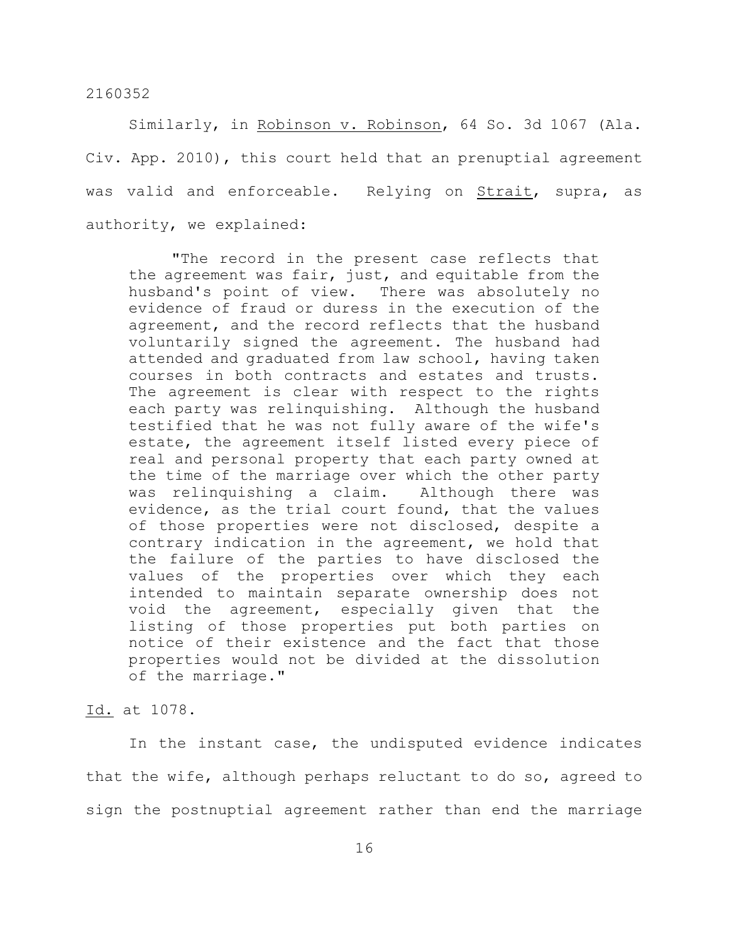Similarly, in Robinson v. Robinson, 64 So. 3d 1067 (Ala. Civ. App. 2010), this court held that an prenuptial agreement was valid and enforceable. Relying on Strait, supra, as authority, we explained:

"The record in the present case reflects that the agreement was fair, just, and equitable from the husband's point of view. There was absolutely no evidence of fraud or duress in the execution of the agreement, and the record reflects that the husband voluntarily signed the agreement. The husband had attended and graduated from law school, having taken courses in both contracts and estates and trusts. The agreement is clear with respect to the rights each party was relinquishing. Although the husband testified that he was not fully aware of the wife's estate, the agreement itself listed every piece of real and personal property that each party owned at the time of the marriage over which the other party was relinquishing a claim. Although there was evidence, as the trial court found, that the values of those properties were not disclosed, despite a contrary indication in the agreement, we hold that the failure of the parties to have disclosed the values of the properties over which they each intended to maintain separate ownership does not void the agreement, especially given that the listing of those properties put both parties on notice of their existence and the fact that those properties would not be divided at the dissolution of the marriage."

## Id. at 1078.

In the instant case, the undisputed evidence indicates that the wife, although perhaps reluctant to do so, agreed to sign the postnuptial agreement rather than end the marriage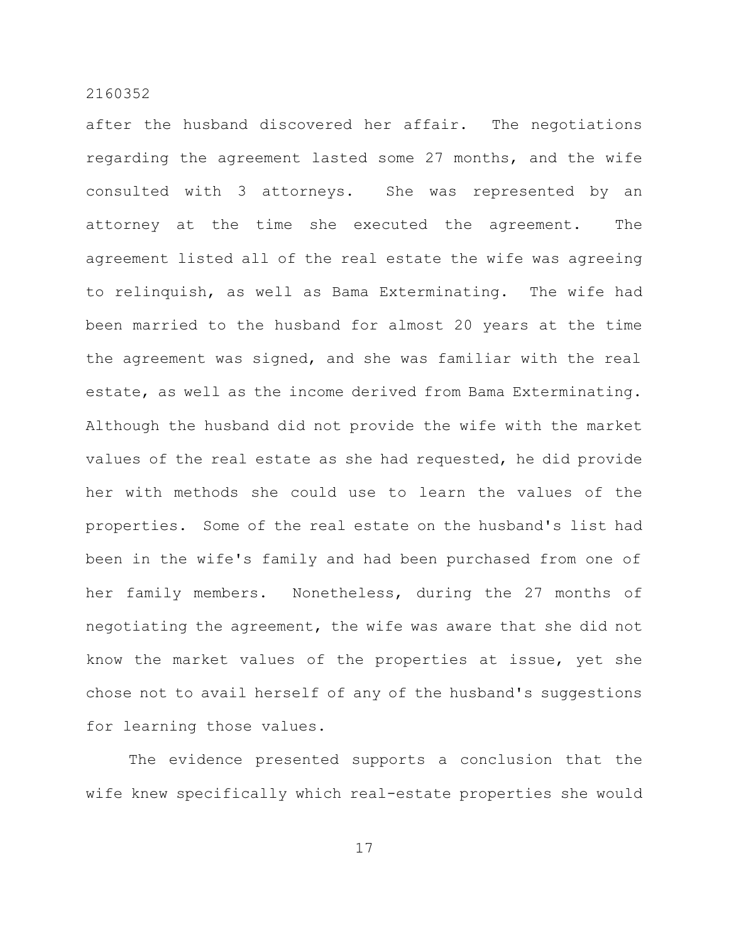after the husband discovered her affair. The negotiations regarding the agreement lasted some 27 months, and the wife consulted with 3 attorneys. She was represented by an attorney at the time she executed the agreement. The agreement listed all of the real estate the wife was agreeing to relinquish, as well as Bama Exterminating. The wife had been married to the husband for almost 20 years at the time the agreement was signed, and she was familiar with the real estate, as well as the income derived from Bama Exterminating. Although the husband did not provide the wife with the market values of the real estate as she had requested, he did provide her with methods she could use to learn the values of the properties. Some of the real estate on the husband's list had been in the wife's family and had been purchased from one of her family members. Nonetheless, during the 27 months of negotiating the agreement, the wife was aware that she did not know the market values of the properties at issue, yet she chose not to avail herself of any of the husband's suggestions for learning those values.

The evidence presented supports a conclusion that the wife knew specifically which real-estate properties she would